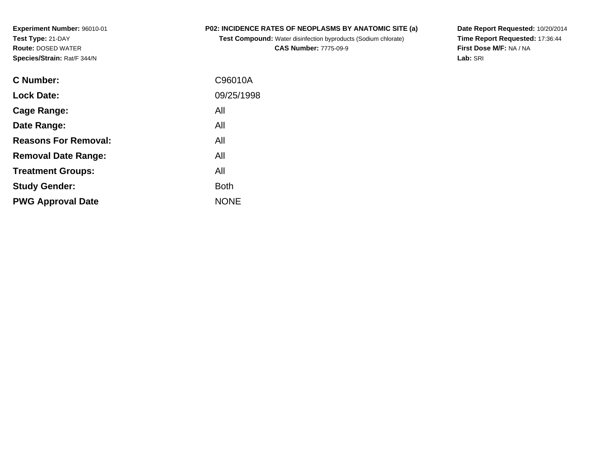**Experiment Number:** 96010-01**Test Type:** 21-DAY **Route:** DOSED WATER**Species/Strain:** Rat/F 344/N

## **P02: INCIDENCE RATES OF NEOPLASMS BY ANATOMIC SITE (a)**

**Test Compound:** Water disinfection byproducts (Sodium chlorate)**CAS Number:** 7775-09-9

**Date Report Requested:** 10/20/2014 **Time Report Requested:** 17:36:44**First Dose M/F:** NA / NA**Lab:** SRI

| C96010A     |
|-------------|
| 09/25/1998  |
| All         |
| All         |
| All         |
| All         |
| All         |
| <b>Both</b> |
| <b>NONE</b> |
|             |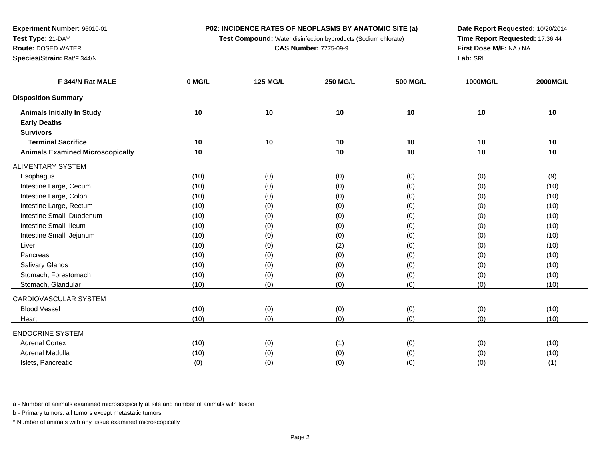**P02: INCIDENCE RATES OF NEOPLASMS BY ANATOMIC SITE (a)**

**Test Compound:** Water disinfection byproducts (Sodium chlorate)

**CAS Number:** 7775-09-9

**Date Report Requested:** 10/20/2014**Time Report Requested:** 17:36:44**First Dose M/F:** NA / NA**Lab:** SRI

| F 344/N Rat MALE                        | 0 MG/L | <b>125 MG/L</b> | <b>250 MG/L</b> | <b>500 MG/L</b> | 1000MG/L | 2000MG/L |
|-----------------------------------------|--------|-----------------|-----------------|-----------------|----------|----------|
| <b>Disposition Summary</b>              |        |                 |                 |                 |          |          |
| <b>Animals Initially In Study</b>       | 10     | 10              | 10              | 10              | 10       | 10       |
| <b>Early Deaths</b>                     |        |                 |                 |                 |          |          |
| <b>Survivors</b>                        |        |                 |                 |                 |          |          |
| <b>Terminal Sacrifice</b>               | 10     | 10              | 10              | 10              | 10       | 10       |
| <b>Animals Examined Microscopically</b> | 10     |                 | 10              | 10              | 10       | 10       |
| ALIMENTARY SYSTEM                       |        |                 |                 |                 |          |          |
| Esophagus                               | (10)   | (0)             | (0)             | (0)             | (0)      | (9)      |
| Intestine Large, Cecum                  | (10)   | (0)             | (0)             | (0)             | (0)      | (10)     |
| Intestine Large, Colon                  | (10)   | (0)             | (0)             | (0)             | (0)      | (10)     |
| Intestine Large, Rectum                 | (10)   | (0)             | (0)             | (0)             | (0)      | (10)     |
| Intestine Small, Duodenum               | (10)   | (0)             | (0)             | (0)             | (0)      | (10)     |
| Intestine Small, Ileum                  | (10)   | (0)             | (0)             | (0)             | (0)      | (10)     |
| Intestine Small, Jejunum                | (10)   | (0)             | (0)             | (0)             | (0)      | (10)     |
| Liver                                   | (10)   | (0)             | (2)             | (0)             | (0)      | (10)     |
| Pancreas                                | (10)   | (0)             | (0)             | (0)             | (0)      | (10)     |
| Salivary Glands                         | (10)   | (0)             | (0)             | (0)             | (0)      | (10)     |
| Stomach, Forestomach                    | (10)   | (0)             | (0)             | (0)             | (0)      | (10)     |
| Stomach, Glandular                      | (10)   | (0)             | (0)             | (0)             | (0)      | (10)     |
| CARDIOVASCULAR SYSTEM                   |        |                 |                 |                 |          |          |
| <b>Blood Vessel</b>                     | (10)   | (0)             | (0)             | (0)             | (0)      | (10)     |
| Heart                                   | (10)   | (0)             | (0)             | (0)             | (0)      | (10)     |
| <b>ENDOCRINE SYSTEM</b>                 |        |                 |                 |                 |          |          |
| <b>Adrenal Cortex</b>                   | (10)   | (0)             | (1)             | (0)             | (0)      | (10)     |
| Adrenal Medulla                         | (10)   | (0)             | (0)             | (0)             | (0)      | (10)     |
| Islets, Pancreatic                      | (0)    | (0)             | (0)             | (0)             | (0)      | (1)      |
|                                         |        |                 |                 |                 |          |          |

a - Number of animals examined microscopically at site and number of animals with lesion

b - Primary tumors: all tumors except metastatic tumors

\* Number of animals with any tissue examined microscopically

**Experiment Number:** 96010-01**Test Type:** 21-DAY**Route:** DOSED WATER

**Species/Strain:** Rat/F 344/N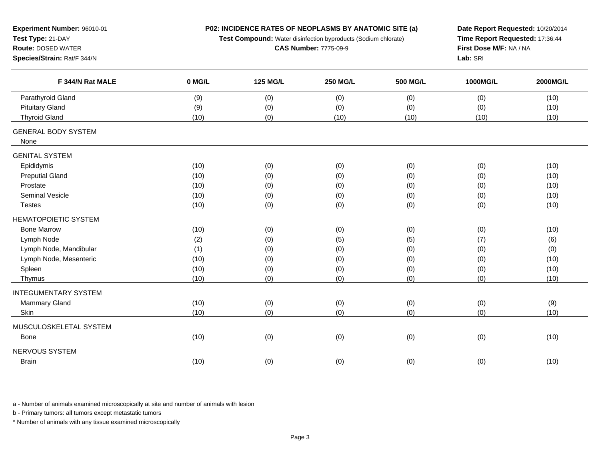| Experiment Number: 96010-01        |        | P02: INCIDENCE RATES OF NEOPLASMS BY ANATOMIC SITE (a)         | Date Report Requested: 10/20/2014 |                 |                 |          |
|------------------------------------|--------|----------------------------------------------------------------|-----------------------------------|-----------------|-----------------|----------|
| Test Type: 21-DAY                  |        | Test Compound: Water disinfection byproducts (Sodium chlorate) | Time Report Requested: 17:36:44   |                 |                 |          |
| <b>Route: DOSED WATER</b>          |        | <b>CAS Number: 7775-09-9</b>                                   | First Dose M/F: NA / NA           |                 |                 |          |
| Species/Strain: Rat/F 344/N        |        |                                                                |                                   |                 | Lab: SRI        |          |
| F 344/N Rat MALE                   | 0 MG/L | <b>125 MG/L</b>                                                | <b>250 MG/L</b>                   | <b>500 MG/L</b> | <b>1000MG/L</b> | 2000MG/L |
| Parathyroid Gland                  | (9)    | (0)                                                            | (0)                               | (0)             | (0)             | (10)     |
| <b>Pituitary Gland</b>             | (9)    | (0)                                                            | (0)                               | (0)             | (0)             | (10)     |
| <b>Thyroid Gland</b>               | (10)   | (0)                                                            | (10)                              | (10)            | (10)            | (10)     |
| <b>GENERAL BODY SYSTEM</b><br>None |        |                                                                |                                   |                 |                 |          |
| <b>GENITAL SYSTEM</b>              |        |                                                                |                                   |                 |                 |          |
| Epididymis                         | (10)   | (0)                                                            | (0)                               | (0)             | (0)             | (10)     |
| <b>Preputial Gland</b>             | (10)   | (0)                                                            | (0)                               | (0)             | (0)             | (10)     |
| Prostate                           | (10)   | (0)                                                            | (0)                               | (0)             | (0)             | (10)     |
| Seminal Vesicle                    | (10)   | (0)                                                            | (0)                               | (0)             | (0)             | (10)     |
| <b>Testes</b>                      | (10)   | (0)                                                            | (0)                               | (0)             | (0)             | (10)     |
| HEMATOPOIETIC SYSTEM               |        |                                                                |                                   |                 |                 |          |
| <b>Bone Marrow</b>                 | (10)   | (0)                                                            | (0)                               | (0)             | (0)             | (10)     |
| Lymph Node                         | (2)    | (0)                                                            | (5)                               | (5)             | (7)             | (6)      |
| Lymph Node, Mandibular             | (1)    | (0)                                                            | (0)                               | (0)             | (0)             | (0)      |
| Lymph Node, Mesenteric             | (10)   | (0)                                                            | (0)                               | (0)             | (0)             | (10)     |
| Spleen                             | (10)   | (0)                                                            | (0)                               | (0)             | (0)             | (10)     |
| Thymus                             | (10)   | (0)                                                            | (0)                               | (0)             | (0)             | (10)     |
| <b>INTEGUMENTARY SYSTEM</b>        |        |                                                                |                                   |                 |                 |          |
| <b>Mammary Gland</b>               | (10)   | (0)                                                            | (0)                               | (0)             | (0)             | (9)      |
| Skin                               | (10)   | (0)                                                            | (0)                               | (0)             | (0)             | (10)     |
| MUSCULOSKELETAL SYSTEM             |        |                                                                |                                   |                 |                 |          |
| <b>Bone</b>                        | (10)   | (0)                                                            | (0)                               | (0)             | (0)             | (10)     |
| NERVOUS SYSTEM                     |        |                                                                |                                   |                 |                 |          |
| <b>Brain</b>                       | (10)   | (0)                                                            | (0)                               | (0)             | (0)             | (10)     |
|                                    |        |                                                                |                                   |                 |                 |          |

b - Primary tumors: all tumors except metastatic tumors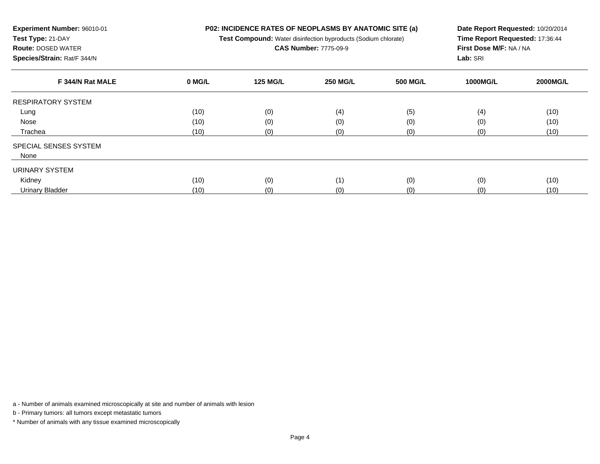| <b>Experiment Number: 96010-01</b> | <b>P02: INCIDENCE RATES OF NEOPLASMS BY ANATOMIC SITE (a)</b>         | <b>Date Report Requested</b>   |
|------------------------------------|-----------------------------------------------------------------------|--------------------------------|
| <b>Test Type:</b> 21-DAY           | <b>Test Compound:</b> Water disinfection byproducts (Sodium chlorate) | <b>Time Report Requeste</b>    |
| <b>Route: DOSED WATER</b>          | <b>CAS Number: 7775-09-9</b>                                          | <b>First Dose M/F: NA / NA</b> |
| <b>Species/Strain: Rat/F 344/N</b> |                                                                       | <b>Lab:</b> SRI                |

| Date Report Requested: 10/20/2014 |
|-----------------------------------|
| Time Report Requested: 17:36:44   |
| First Dose M/F: NA / NA           |
| <b>Lab:</b> SRI                   |

| F 344/N Rat MALE             | 0 MG/L | <b>125 MG/L</b> | <b>250 MG/L</b> | <b>500 MG/L</b> | <b>1000MG/L</b> | <b>2000MG/L</b> |
|------------------------------|--------|-----------------|-----------------|-----------------|-----------------|-----------------|
| <b>RESPIRATORY SYSTEM</b>    |        |                 |                 |                 |                 |                 |
| Lung                         | (10)   | (0)             | (4)             | (5)             | (4)             | (10)            |
| Nose                         | (10)   | (0)             | (0)             | (0)             | (0)             | (10)            |
| Trachea                      | (10)   | (0)             | (0)             | (0)             | (0)             | (10)            |
| <b>SPECIAL SENSES SYSTEM</b> |        |                 |                 |                 |                 |                 |
| None                         |        |                 |                 |                 |                 |                 |
| URINARY SYSTEM               |        |                 |                 |                 |                 |                 |
| Kidney                       | (10)   | (0)             | (1)             | (0)             | (0)             | (10)            |
| <b>Urinary Bladder</b>       | (10)   | (0)             | (0)             | (0)             | (0)             | (10)            |

b - Primary tumors: all tumors except metastatic tumors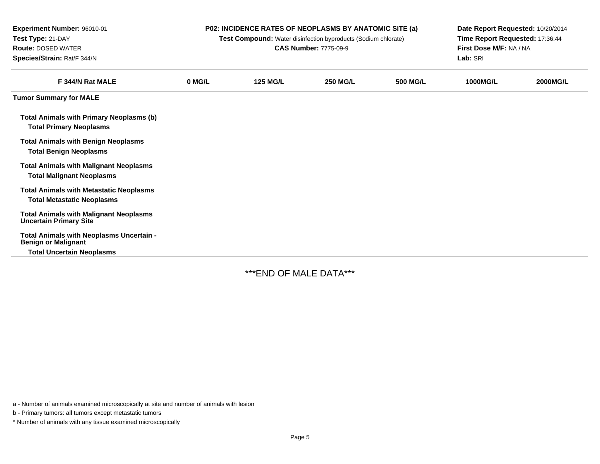| Experiment Number: 96010-01<br>Test Type: 21-DAY<br><b>Route: DOSED WATER</b><br>Species/Strain: Rat/F 344/N | P02: INCIDENCE RATES OF NEOPLASMS BY ANATOMIC SITE (a)<br>Test Compound: Water disinfection byproducts (Sodium chlorate)<br><b>CAS Number: 7775-09-9</b> |                 |                 |                 | Date Report Requested: 10/20/2014<br>Time Report Requested: 17:36:44<br>First Dose M/F: NA / NA<br>Lab: SRI |                 |
|--------------------------------------------------------------------------------------------------------------|----------------------------------------------------------------------------------------------------------------------------------------------------------|-----------------|-----------------|-----------------|-------------------------------------------------------------------------------------------------------------|-----------------|
| F 344/N Rat MALE                                                                                             | 0 MG/L                                                                                                                                                   | <b>125 MG/L</b> | <b>250 MG/L</b> | <b>500 MG/L</b> | 1000MG/L                                                                                                    | <b>2000MG/L</b> |
| <b>Tumor Summary for MALE</b>                                                                                |                                                                                                                                                          |                 |                 |                 |                                                                                                             |                 |
| <b>Total Animals with Primary Neoplasms (b)</b><br><b>Total Primary Neoplasms</b>                            |                                                                                                                                                          |                 |                 |                 |                                                                                                             |                 |
| <b>Total Animals with Benign Neoplasms</b><br><b>Total Benign Neoplasms</b>                                  |                                                                                                                                                          |                 |                 |                 |                                                                                                             |                 |
| <b>Total Animals with Malignant Neoplasms</b><br><b>Total Malignant Neoplasms</b>                            |                                                                                                                                                          |                 |                 |                 |                                                                                                             |                 |
| <b>Total Animals with Metastatic Neoplasms</b><br><b>Total Metastatic Neoplasms</b>                          |                                                                                                                                                          |                 |                 |                 |                                                                                                             |                 |
| <b>Total Animals with Malignant Neoplasms</b><br><b>Uncertain Primary Site</b>                               |                                                                                                                                                          |                 |                 |                 |                                                                                                             |                 |
| Total Animals with Neoplasms Uncertain -<br><b>Benign or Malignant</b>                                       |                                                                                                                                                          |                 |                 |                 |                                                                                                             |                 |
| <b>Total Uncertain Neoplasms</b>                                                                             |                                                                                                                                                          |                 |                 |                 |                                                                                                             |                 |

\*\*\*END OF MALE DATA\*\*\*

a - Number of animals examined microscopically at site and number of animals with lesion

b - Primary tumors: all tumors except metastatic tumors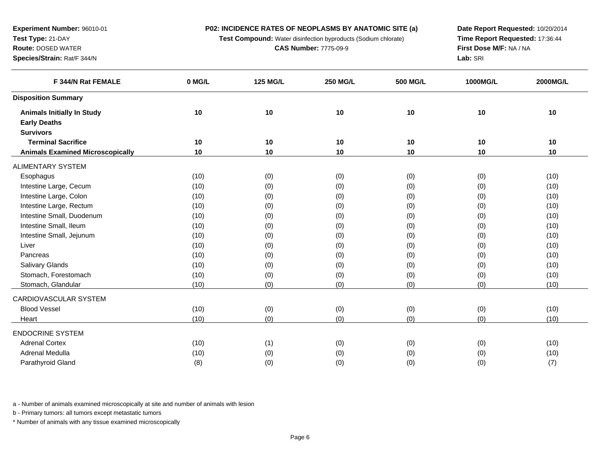**P02: INCIDENCE RATES OF NEOPLASMS BY ANATOMIC SITE (a)**

**Test Compound:** Water disinfection byproducts (Sodium chlorate)

**CAS Number:** 7775-09-9

**Date Report Requested:** 10/20/2014**Time Report Requested:** 17:36:44**First Dose M/F:** NA / NA**Lab:** SRI

| F 344/N Rat FEMALE                      | 0 MG/L | <b>125 MG/L</b> | <b>250 MG/L</b> | <b>500 MG/L</b> | 1000MG/L | 2000MG/L |
|-----------------------------------------|--------|-----------------|-----------------|-----------------|----------|----------|
| <b>Disposition Summary</b>              |        |                 |                 |                 |          |          |
| <b>Animals Initially In Study</b>       | 10     | 10              | 10              | 10              | 10       | 10       |
| <b>Early Deaths</b>                     |        |                 |                 |                 |          |          |
| <b>Survivors</b>                        |        |                 |                 |                 |          |          |
| <b>Terminal Sacrifice</b>               | 10     | 10              | 10              | 10              | 10       | 10       |
| <b>Animals Examined Microscopically</b> | 10     | 10              | 10              | 10              | 10       | 10       |
| <b>ALIMENTARY SYSTEM</b>                |        |                 |                 |                 |          |          |
| Esophagus                               | (10)   | (0)             | (0)             | (0)             | (0)      | (10)     |
| Intestine Large, Cecum                  | (10)   | (0)             | (0)             | (0)             | (0)      | (10)     |
| Intestine Large, Colon                  | (10)   | (0)             | (0)             | (0)             | (0)      | (10)     |
| Intestine Large, Rectum                 | (10)   | (0)             | (0)             | (0)             | (0)      | (10)     |
| Intestine Small, Duodenum               | (10)   | (0)             | (0)             | (0)             | (0)      | (10)     |
| Intestine Small, Ileum                  | (10)   | (0)             | (0)             | (0)             | (0)      | (10)     |
| Intestine Small, Jejunum                | (10)   | (0)             | (0)             | (0)             | (0)      | (10)     |
| Liver                                   | (10)   | (0)             | (0)             | (0)             | (0)      | (10)     |
| Pancreas                                | (10)   | (0)             | (0)             | (0)             | (0)      | (10)     |
| Salivary Glands                         | (10)   | (0)             | (0)             | (0)             | (0)      | (10)     |
| Stomach, Forestomach                    | (10)   | (0)             | (0)             | (0)             | (0)      | (10)     |
| Stomach, Glandular                      | (10)   | (0)             | (0)             | (0)             | (0)      | (10)     |
| CARDIOVASCULAR SYSTEM                   |        |                 |                 |                 |          |          |
| <b>Blood Vessel</b>                     | (10)   | (0)             | (0)             | (0)             | (0)      | (10)     |
| Heart                                   | (10)   | (0)             | (0)             | (0)             | (0)      | (10)     |
| <b>ENDOCRINE SYSTEM</b>                 |        |                 |                 |                 |          |          |
| <b>Adrenal Cortex</b>                   | (10)   | (1)             | (0)             | (0)             | (0)      | (10)     |
| <b>Adrenal Medulla</b>                  | (10)   | (0)             | (0)             | (0)             | (0)      | (10)     |
| Parathyroid Gland                       | (8)    | (0)             | (0)             | (0)             | (0)      | (7)      |
|                                         |        |                 |                 |                 |          |          |

a - Number of animals examined microscopically at site and number of animals with lesion

b - Primary tumors: all tumors except metastatic tumors

\* Number of animals with any tissue examined microscopically

**Experiment Number:** 96010-01**Test Type:** 21-DAY**Route:** DOSED WATER

**Species/Strain:** Rat/F 344/N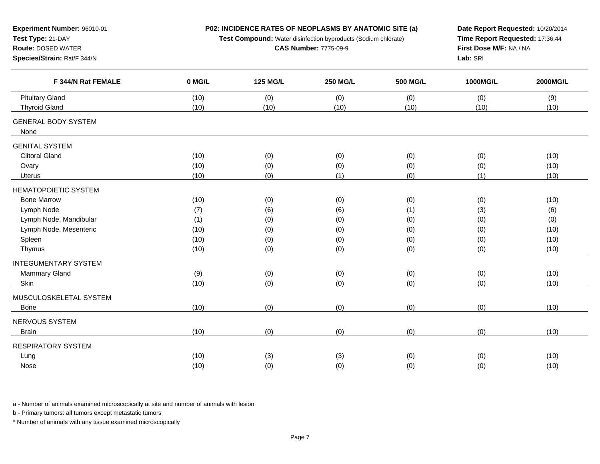| Experiment Number: 96010-01<br>Test Type: 21-DAY<br><b>Route: DOSED WATER</b><br>Species/Strain: Rat/F 344/N                            |                                            | P02: INCIDENCE RATES OF NEOPLASMS BY ANATOMIC SITE (a)<br>Test Compound: Water disinfection byproducts (Sodium chlorate)<br><b>CAS Number: 7775-09-9</b> | Date Report Requested: 10/20/2014<br>Time Report Requested: 17:36:44<br>First Dose M/F: NA / NA<br>Lab: SRI |                                        |                                        |                                            |
|-----------------------------------------------------------------------------------------------------------------------------------------|--------------------------------------------|----------------------------------------------------------------------------------------------------------------------------------------------------------|-------------------------------------------------------------------------------------------------------------|----------------------------------------|----------------------------------------|--------------------------------------------|
| F 344/N Rat FEMALE                                                                                                                      | 0 MG/L                                     | <b>125 MG/L</b>                                                                                                                                          | <b>250 MG/L</b>                                                                                             | <b>500 MG/L</b>                        | 1000MG/L                               | 2000MG/L                                   |
| <b>Pituitary Gland</b><br><b>Thyroid Gland</b>                                                                                          | (10)<br>(10)                               | (0)<br>(10)                                                                                                                                              | (0)<br>(10)                                                                                                 | (0)<br>(10)                            | (0)<br>(10)                            | (9)<br>(10)                                |
| <b>GENERAL BODY SYSTEM</b><br>None                                                                                                      |                                            |                                                                                                                                                          |                                                                                                             |                                        |                                        |                                            |
| <b>GENITAL SYSTEM</b><br><b>Clitoral Gland</b><br>Ovary<br>Uterus                                                                       | (10)<br>(10)<br>(10)                       | (0)<br>(0)<br>(0)                                                                                                                                        | (0)<br>(0)<br>(1)                                                                                           | (0)<br>(0)<br>(0)                      | (0)<br>(0)<br>(1)                      | (10)<br>(10)<br>(10)                       |
| <b>HEMATOPOIETIC SYSTEM</b><br><b>Bone Marrow</b><br>Lymph Node<br>Lymph Node, Mandibular<br>Lymph Node, Mesenteric<br>Spleen<br>Thymus | (10)<br>(7)<br>(1)<br>(10)<br>(10)<br>(10) | (0)<br>(6)<br>(0)<br>(0)<br>(0)<br>(0)                                                                                                                   | (0)<br>(6)<br>(0)<br>(0)<br>(0)<br>(0)                                                                      | (0)<br>(1)<br>(0)<br>(0)<br>(0)<br>(0) | (0)<br>(3)<br>(0)<br>(0)<br>(0)<br>(0) | (10)<br>(6)<br>(0)<br>(10)<br>(10)<br>(10) |
| <b>INTEGUMENTARY SYSTEM</b><br>Mammary Gland<br>Skin<br>MUSCULOSKELETAL SYSTEM<br>Bone                                                  | (9)<br>(10)<br>(10)                        | (0)<br>(0)<br>(0)                                                                                                                                        | (0)<br>(0)<br>(0)                                                                                           | (0)<br>(0)<br>(0)                      | (0)<br>(0)<br>(0)                      | (10)<br>(10)<br>(10)                       |
| NERVOUS SYSTEM<br><b>Brain</b>                                                                                                          | (10)                                       | (0)                                                                                                                                                      | (0)                                                                                                         | (0)                                    | (0)                                    | (10)                                       |
| <b>RESPIRATORY SYSTEM</b><br>Lung<br>Nose                                                                                               | (10)<br>(10)                               | (3)<br>(0)                                                                                                                                               | (3)<br>(0)                                                                                                  | (0)<br>(0)                             | (0)<br>(0)                             | (10)<br>(10)                               |

b - Primary tumors: all tumors except metastatic tumors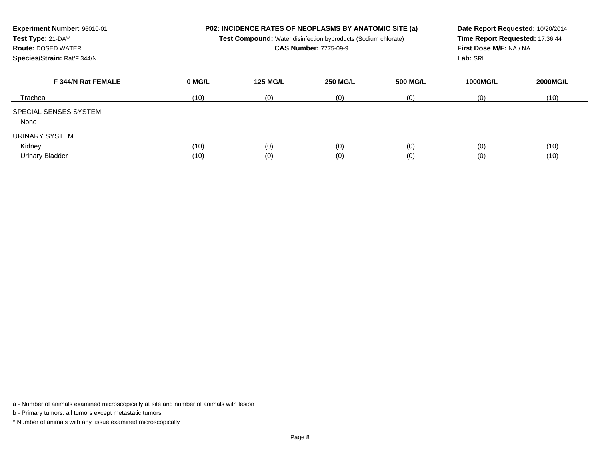| Experiment Number: 96010-01<br>Test Type: 21-DAY<br><b>Route: DOSED WATER</b><br>Species/Strain: Rat/F 344/N |              | <b>P02: INCIDENCE RATES OF NEOPLASMS BY ANATOMIC SITE (a)</b><br>Date Report Requested: 10/20/2014<br>Time Report Requested: 17:36:44<br>Test Compound: Water disinfection byproducts (Sodium chlorate)<br><b>CAS Number: 7775-09-9</b><br>First Dose M/F: NA / NA<br>Lab: SRI |                 |                 |                 |                 |
|--------------------------------------------------------------------------------------------------------------|--------------|--------------------------------------------------------------------------------------------------------------------------------------------------------------------------------------------------------------------------------------------------------------------------------|-----------------|-----------------|-----------------|-----------------|
| F 344/N Rat FEMALE                                                                                           | 0 MG/L       | <b>125 MG/L</b>                                                                                                                                                                                                                                                                | <b>250 MG/L</b> | <b>500 MG/L</b> | <b>1000MG/L</b> | <b>2000MG/L</b> |
| Trachea                                                                                                      | (10)         | (0)                                                                                                                                                                                                                                                                            | (0)             | (0)             | (0)             | (10)            |
| <b>SPECIAL SENSES SYSTEM</b><br>None                                                                         |              |                                                                                                                                                                                                                                                                                |                 |                 |                 |                 |
| URINARY SYSTEM<br>Kidney<br>Urinary Bladder                                                                  | (10)<br>(10) | (0)<br>(0)                                                                                                                                                                                                                                                                     | (0)<br>(0)      | (0)<br>(0)      | (0)<br>(0)      | (10)<br>(10)    |

b - Primary tumors: all tumors except metastatic tumors